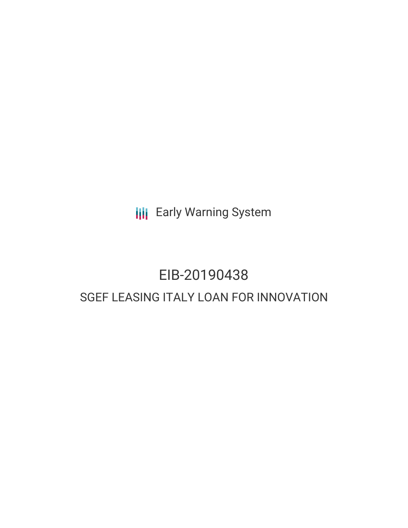**III** Early Warning System

# EIB-20190438 SGEF LEASING ITALY LOAN FOR INNOVATION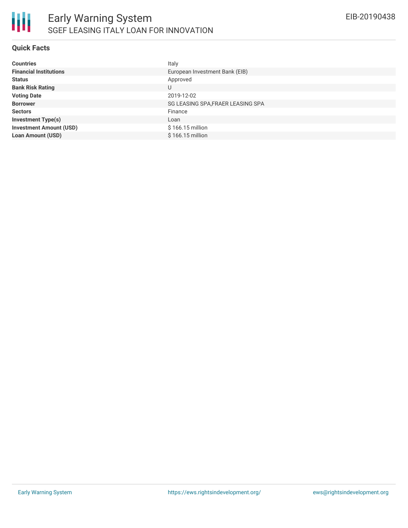

## **Quick Facts**

| <b>Countries</b>               | Italy                             |
|--------------------------------|-----------------------------------|
| <b>Financial Institutions</b>  | European Investment Bank (EIB)    |
| <b>Status</b>                  | Approved                          |
| <b>Bank Risk Rating</b>        | U                                 |
| <b>Voting Date</b>             | 2019-12-02                        |
| <b>Borrower</b>                | SG LEASING SPA, FRAER LEASING SPA |
| <b>Sectors</b>                 | Finance                           |
| <b>Investment Type(s)</b>      | Loan                              |
| <b>Investment Amount (USD)</b> | \$166.15 million                  |
| <b>Loan Amount (USD)</b>       | $$166.15$ million                 |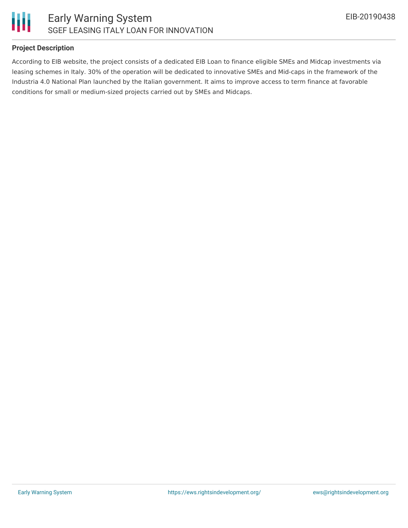

## **Project Description**

According to EIB website, the project consists of a dedicated EIB Loan to finance eligible SMEs and Midcap investments via leasing schemes in Italy. 30% of the operation will be dedicated to innovative SMEs and Mid-caps in the framework of the Industria 4.0 National Plan launched by the Italian government. It aims to improve access to term finance at favorable conditions for small or medium-sized projects carried out by SMEs and Midcaps.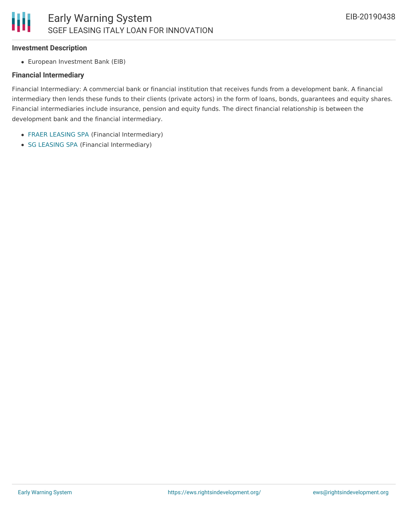#### **Investment Description**

European Investment Bank (EIB)

## **Financial Intermediary**

Financial Intermediary: A commercial bank or financial institution that receives funds from a development bank. A financial intermediary then lends these funds to their clients (private actors) in the form of loans, bonds, guarantees and equity shares. Financial intermediaries include insurance, pension and equity funds. The direct financial relationship is between the development bank and the financial intermediary.

- FRAER [LEASING](file:///actor/883/) SPA (Financial Intermediary)
- SG [LEASING](file:///actor/884/) SPA (Financial Intermediary)